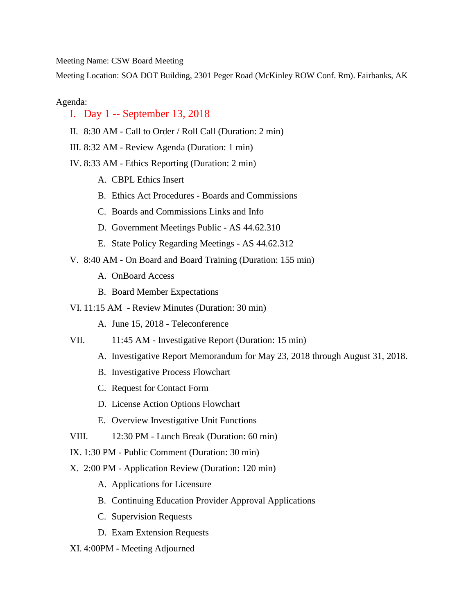Meeting Name: CSW Board Meeting

Meeting Location: SOA DOT Building, 2301 Peger Road (McKinley ROW Conf. Rm). Fairbanks, AK

## Agenda:

## I. Day 1 -- September 13, 2018

- II. 8:30 AM Call to Order / Roll Call (Duration: 2 min)
- III. 8:32 AM Review Agenda (Duration: 1 min)
- IV. 8:33 AM Ethics Reporting (Duration: 2 min)
	- A. CBPL Ethics Insert
	- B. Ethics Act Procedures Boards and Commissions
	- C. Boards and Commissions Links and Info
	- D. Government Meetings Public AS 44.62.310
	- E. State Policy Regarding Meetings AS 44.62.312
- V. 8:40 AM On Board and Board Training (Duration: 155 min)
	- A. OnBoard Access
	- B. Board Member Expectations
- VI. 11:15 AM Review Minutes (Duration: 30 min)
	- A. June 15, 2018 Teleconference
- VII. 11:45 AM Investigative Report (Duration: 15 min)
	- A. Investigative Report Memorandum for May 23, 2018 through August 31, 2018.
	- B. Investigative Process Flowchart
	- C. Request for Contact Form
	- D. License Action Options Flowchart
	- E. Overview Investigative Unit Functions
- VIII. 12:30 PM Lunch Break (Duration: 60 min)
- IX. 1:30 PM Public Comment (Duration: 30 min)
- X. 2:00 PM Application Review (Duration: 120 min)
	- A. Applications for Licensure
	- B. Continuing Education Provider Approval Applications
	- C. Supervision Requests
	- D. Exam Extension Requests
- XI. 4:00PM Meeting Adjourned